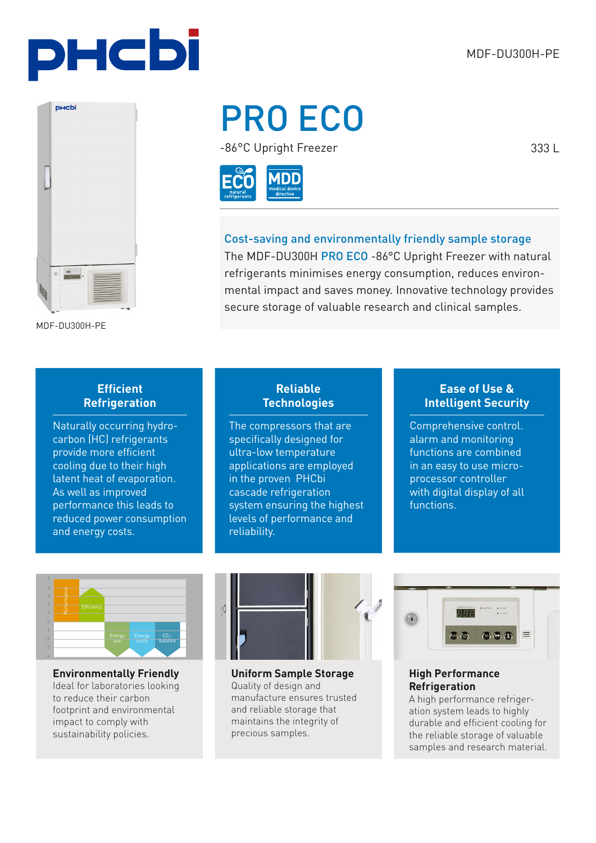333 L



PRO ECO

-86°C Upright Freezer



Cost-saving and environmentally friendly sample storage The MDF-DU300H PRO ECO -86°C Upright Freezer with natural refrigerants minimises energy consumption, reduces environmental impact and saves money. Innovative technology provides secure storage of valuable research and clinical samples.

MDF-DU300H-PE

## **Efficient Refrigeration**

Naturally occurring hydrocarbon (HC) refrigerants provide more efficient cooling due to their high latent heat of evaporation. As well as improved performance this leads to reduced power consumption and energy costs.

## **Reliable Technologies**

The compressors that are specifically designed for ultra-low temperature applications are employed in the proven PHCbi cascade refrigeration system ensuring the highest levels of performance and reliability.

## **Ease of Use & Intelligent Security**

Comprehensive control. alarm and monitoring functions are combined in an easy to use microprocessor controller with digital display of all functions.



**Environmentally Friendly** Ideal for laboratories looking to reduce their carbon footprint and environmental impact to comply with sustainability policies.



**Uniform Sample Storage**  Quality of design and manufacture ensures trusted and reliable storage that maintains the integrity of precious samples.



## **High Performance Refrigeration**

A high performance refrigeration system leads to highly durable and efficient cooling for the reliable storage of valuable samples and research material.